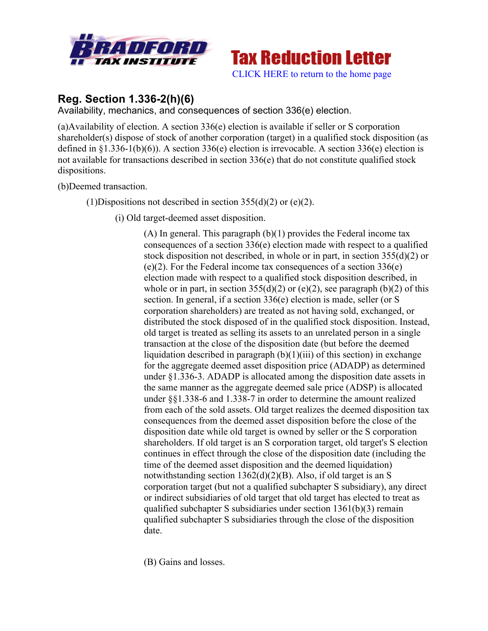



# **Reg. Section 1.336-2(h)(6)**

Availability, mechanics, and consequences of section 336(e) election.

(a)Availability of election. A section 336(e) election is available if seller or S corporation shareholder(s) dispose of stock of another corporation (target) in a qualified stock disposition (as defined in §1.336-1(b)(6)). A section 336(e) election is irrevocable. A section 336(e) election is not available for transactions described in section 336(e) that do not constitute qualified stock dispositions.

(b)Deemed transaction.

(1)Dispositions not described in section  $355(d)(2)$  or (e)(2).

(i) Old target-deemed asset disposition.

(A) In general. This paragraph  $(b)(1)$  provides the Federal income tax consequences of a section 336(e) election made with respect to a qualified stock disposition not described, in whole or in part, in section 355(d)(2) or (e)(2). For the Federal income tax consequences of a section 336(e) election made with respect to a qualified stock disposition described, in whole or in part, in section  $355(d)(2)$  or (e)(2), see paragraph (b)(2) of this section. In general, if a section 336(e) election is made, seller (or S corporation shareholders) are treated as not having sold, exchanged, or distributed the stock disposed of in the qualified stock disposition. Instead, old target is treated as selling its assets to an unrelated person in a single transaction at the close of the disposition date (but before the deemed liquidation described in paragraph  $(b)(1)(iii)$  of this section) in exchange for the aggregate deemed asset disposition price (ADADP) as determined under §1.336-3. ADADP is allocated among the disposition date assets in the same manner as the aggregate deemed sale price (ADSP) is allocated under §§1.338-6 and 1.338-7 in order to determine the amount realized from each of the sold assets. Old target realizes the deemed disposition tax consequences from the deemed asset disposition before the close of the disposition date while old target is owned by seller or the S corporation shareholders. If old target is an S corporation target, old target's S election continues in effect through the close of the disposition date (including the time of the deemed asset disposition and the deemed liquidation) notwithstanding section 1362(d)(2)(B). Also, if old target is an S corporation target (but not a qualified subchapter S subsidiary), any direct or indirect subsidiaries of old target that old target has elected to treat as qualified subchapter S subsidiaries under section 1361(b)(3) remain qualified subchapter S subsidiaries through the close of the disposition date.

(B) Gains and losses.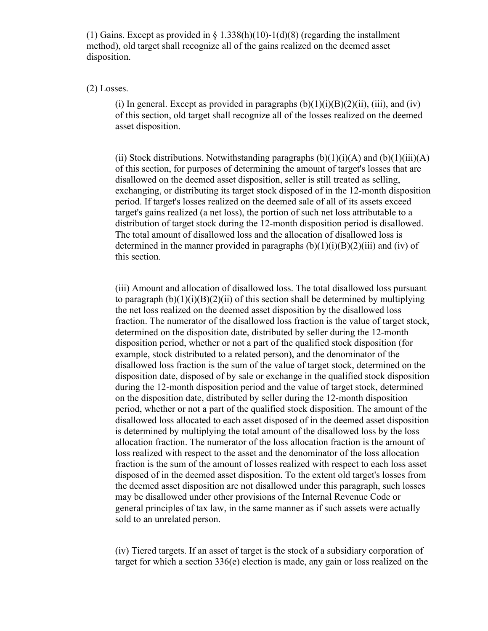(1) Gains. Except as provided in  $\S 1.338(h)(10) - 1(d)(8)$  (regarding the installment method), old target shall recognize all of the gains realized on the deemed asset disposition.

#### (2) Losses.

(i) In general. Except as provided in paragraphs  $(b)(1)(i)(B)(2)(ii)$ , (iii), and (iv) of this section, old target shall recognize all of the losses realized on the deemed asset disposition.

(ii) Stock distributions. Notwithstanding paragraphs  $(b)(1)(i)(A)$  and  $(b)(1)(iii)(A)$ of this section, for purposes of determining the amount of target's losses that are disallowed on the deemed asset disposition, seller is still treated as selling, exchanging, or distributing its target stock disposed of in the 12-month disposition period. If target's losses realized on the deemed sale of all of its assets exceed target's gains realized (a net loss), the portion of such net loss attributable to a distribution of target stock during the 12-month disposition period is disallowed. The total amount of disallowed loss and the allocation of disallowed loss is determined in the manner provided in paragraphs  $(b)(1)(i)(B)(2)(iii)$  and  $(iv)$  of this section.

(iii) Amount and allocation of disallowed loss. The total disallowed loss pursuant to paragraph  $(b)(1)(i)(B)(2)(ii)$  of this section shall be determined by multiplying the net loss realized on the deemed asset disposition by the disallowed loss fraction. The numerator of the disallowed loss fraction is the value of target stock, determined on the disposition date, distributed by seller during the 12-month disposition period, whether or not a part of the qualified stock disposition (for example, stock distributed to a related person), and the denominator of the disallowed loss fraction is the sum of the value of target stock, determined on the disposition date, disposed of by sale or exchange in the qualified stock disposition during the 12-month disposition period and the value of target stock, determined on the disposition date, distributed by seller during the 12-month disposition period, whether or not a part of the qualified stock disposition. The amount of the disallowed loss allocated to each asset disposed of in the deemed asset disposition is determined by multiplying the total amount of the disallowed loss by the loss allocation fraction. The numerator of the loss allocation fraction is the amount of loss realized with respect to the asset and the denominator of the loss allocation fraction is the sum of the amount of losses realized with respect to each loss asset disposed of in the deemed asset disposition. To the extent old target's losses from the deemed asset disposition are not disallowed under this paragraph, such losses may be disallowed under other provisions of the Internal Revenue Code or general principles of tax law, in the same manner as if such assets were actually sold to an unrelated person.

(iv) Tiered targets. If an asset of target is the stock of a subsidiary corporation of target for which a section 336(e) election is made, any gain or loss realized on the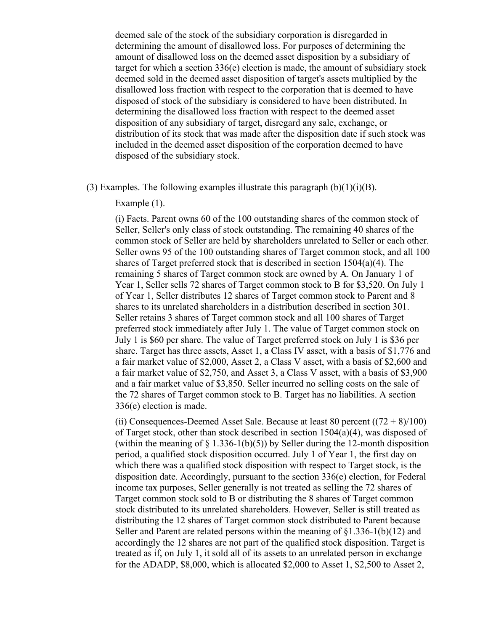deemed sale of the stock of the subsidiary corporation is disregarded in determining the amount of disallowed loss. For purposes of determining the amount of disallowed loss on the deemed asset disposition by a subsidiary of target for which a section 336(e) election is made, the amount of subsidiary stock deemed sold in the deemed asset disposition of target's assets multiplied by the disallowed loss fraction with respect to the corporation that is deemed to have disposed of stock of the subsidiary is considered to have been distributed. In determining the disallowed loss fraction with respect to the deemed asset disposition of any subsidiary of target, disregard any sale, exchange, or distribution of its stock that was made after the disposition date if such stock was included in the deemed asset disposition of the corporation deemed to have disposed of the subsidiary stock.

(3) Examples. The following examples illustrate this paragraph  $(b)(1)(i)(B)$ .

Example (1).

(i) Facts. Parent owns 60 of the 100 outstanding shares of the common stock of Seller, Seller's only class of stock outstanding. The remaining 40 shares of the common stock of Seller are held by shareholders unrelated to Seller or each other. Seller owns 95 of the 100 outstanding shares of Target common stock, and all 100 shares of Target preferred stock that is described in section 1504(a)(4). The remaining 5 shares of Target common stock are owned by A. On January 1 of Year 1, Seller sells 72 shares of Target common stock to B for \$3,520. On July 1 of Year 1, Seller distributes 12 shares of Target common stock to Parent and 8 shares to its unrelated shareholders in a distribution described in section 301. Seller retains 3 shares of Target common stock and all 100 shares of Target preferred stock immediately after July 1. The value of Target common stock on July 1 is \$60 per share. The value of Target preferred stock on July 1 is \$36 per share. Target has three assets, Asset 1, a Class IV asset, with a basis of \$1,776 and a fair market value of \$2,000, Asset 2, a Class V asset, with a basis of \$2,600 and a fair market value of \$2,750, and Asset 3, a Class V asset, with a basis of \$3,900 and a fair market value of \$3,850. Seller incurred no selling costs on the sale of the 72 shares of Target common stock to B. Target has no liabilities. A section 336(e) election is made.

(ii) Consequences-Deemed Asset Sale. Because at least 80 percent  $((72 + 8)/100)$ of Target stock, other than stock described in section  $1504(a)(4)$ , was disposed of (within the meaning of  $\S$  1.336-1(b)(5)) by Seller during the 12-month disposition period, a qualified stock disposition occurred. July 1 of Year 1, the first day on which there was a qualified stock disposition with respect to Target stock, is the disposition date. Accordingly, pursuant to the section 336(e) election, for Federal income tax purposes, Seller generally is not treated as selling the 72 shares of Target common stock sold to B or distributing the 8 shares of Target common stock distributed to its unrelated shareholders. However, Seller is still treated as distributing the 12 shares of Target common stock distributed to Parent because Seller and Parent are related persons within the meaning of  $\S1.336-1(b)(12)$  and accordingly the 12 shares are not part of the qualified stock disposition. Target is treated as if, on July 1, it sold all of its assets to an unrelated person in exchange for the ADADP, \$8,000, which is allocated \$2,000 to Asset 1, \$2,500 to Asset 2,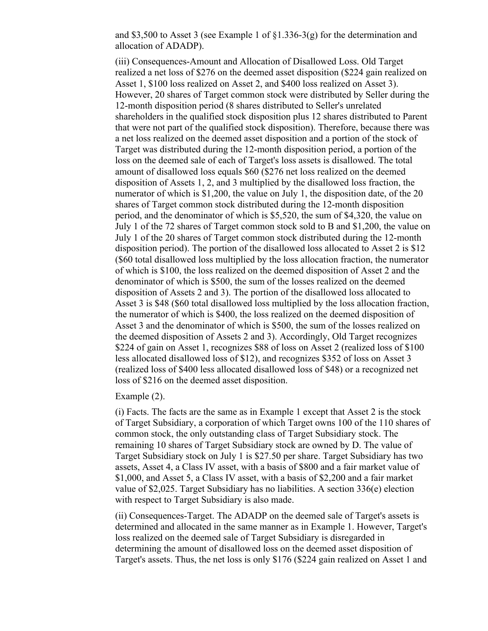and \$3,500 to Asset 3 (see Example 1 of §1.336-3(g) for the determination and allocation of ADADP).

(iii) Consequences-Amount and Allocation of Disallowed Loss. Old Target realized a net loss of \$276 on the deemed asset disposition (\$224 gain realized on Asset 1, \$100 loss realized on Asset 2, and \$400 loss realized on Asset 3). However, 20 shares of Target common stock were distributed by Seller during the 12-month disposition period (8 shares distributed to Seller's unrelated shareholders in the qualified stock disposition plus 12 shares distributed to Parent that were not part of the qualified stock disposition). Therefore, because there was a net loss realized on the deemed asset disposition and a portion of the stock of Target was distributed during the 12-month disposition period, a portion of the loss on the deemed sale of each of Target's loss assets is disallowed. The total amount of disallowed loss equals \$60 (\$276 net loss realized on the deemed disposition of Assets 1, 2, and 3 multiplied by the disallowed loss fraction, the numerator of which is \$1,200, the value on July 1, the disposition date, of the 20 shares of Target common stock distributed during the 12-month disposition period, and the denominator of which is \$5,520, the sum of \$4,320, the value on July 1 of the 72 shares of Target common stock sold to B and \$1,200, the value on July 1 of the 20 shares of Target common stock distributed during the 12-month disposition period). The portion of the disallowed loss allocated to Asset 2 is \$12 (\$60 total disallowed loss multiplied by the loss allocation fraction, the numerator of which is \$100, the loss realized on the deemed disposition of Asset 2 and the denominator of which is \$500, the sum of the losses realized on the deemed disposition of Assets 2 and 3). The portion of the disallowed loss allocated to Asset 3 is \$48 (\$60 total disallowed loss multiplied by the loss allocation fraction, the numerator of which is \$400, the loss realized on the deemed disposition of Asset 3 and the denominator of which is \$500, the sum of the losses realized on the deemed disposition of Assets 2 and 3). Accordingly, Old Target recognizes \$224 of gain on Asset 1, recognizes \$88 of loss on Asset 2 (realized loss of \$100 less allocated disallowed loss of \$12), and recognizes \$352 of loss on Asset 3 (realized loss of \$400 less allocated disallowed loss of \$48) or a recognized net loss of \$216 on the deemed asset disposition.

Example (2).

(i) Facts. The facts are the same as in Example 1 except that Asset 2 is the stock of Target Subsidiary, a corporation of which Target owns 100 of the 110 shares of common stock, the only outstanding class of Target Subsidiary stock. The remaining 10 shares of Target Subsidiary stock are owned by D. The value of Target Subsidiary stock on July 1 is \$27.50 per share. Target Subsidiary has two assets, Asset 4, a Class IV asset, with a basis of \$800 and a fair market value of \$1,000, and Asset 5, a Class IV asset, with a basis of \$2,200 and a fair market value of \$2,025. Target Subsidiary has no liabilities. A section 336(e) election with respect to Target Subsidiary is also made.

(ii) Consequences-Target. The ADADP on the deemed sale of Target's assets is determined and allocated in the same manner as in Example 1. However, Target's loss realized on the deemed sale of Target Subsidiary is disregarded in determining the amount of disallowed loss on the deemed asset disposition of Target's assets. Thus, the net loss is only \$176 (\$224 gain realized on Asset 1 and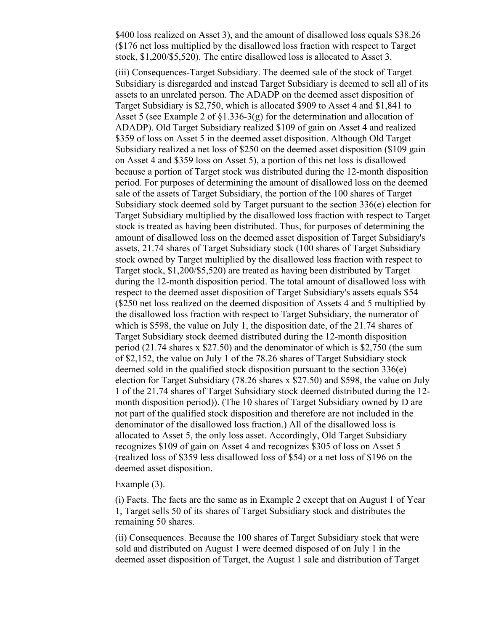\$400 loss realized on Asset 3), and the amount of disallowed loss equals \$38.26 (\$176 net loss multiplied by the disallowed loss fraction with respect to Target stock, \$1,200/\$5,520). The entire disallowed loss is allocated to Asset 3.

(iii) Consequences-Target Subsidiary. The deemed sale of the stock of Target Subsidiary is disregarded and instead Target Subsidiary is deemed to sell all of its assets to an unrelated person. The ADADP on the deemed asset disposition of Target Subsidiary is \$2,750, which is allocated \$909 to Asset 4 and \$1,841 to Asset 5 (see Example 2 of §1.336-3(g) for the determination and allocation of ADADP). Old Target Subsidiary realized \$109 of gain on Asset 4 and realized \$359 of loss on Asset 5 in the deemed asset disposition. Although Old Target Subsidiary realized a net loss of \$250 on the deemed asset disposition (\$109 gain on Asset 4 and \$359 loss on Asset 5), a portion of this net loss is disallowed because a portion of Target stock was distributed during the 12-month disposition period. For purposes of determining the amount of disallowed loss on the deemed sale of the assets of Target Subsidiary, the portion of the 100 shares of Target Subsidiary stock deemed sold by Target pursuant to the section 336 $(e)$  election for Target Subsidiary multiplied by the disallowed loss fraction with respect to Target stock is treated as having been distributed. Thus, for purposes of determining the amount of disallowed loss on the deemed asset disposition of Target Subsidiary's assets, 21.74 shares of Target Subsidiary stock (100 shares of Target Subsidiary stock owned by Target multiplied by the disallowed loss fraction with respect to Target stock, \$1,200/\$5,520) are treated as having been distributed by Target during the 12-month disposition period. The total amount of disallowed loss with respect to the deemed asset disposition of Target Subsidiary's assets equals \$54 (\$250 net loss realized on the deemed disposition of Assets 4 and 5 multiplied by the disallowed loss fraction with respect to Target Subsidiary, the numerator of which is \$598, the value on July 1, the disposition date, of the 21.74 shares of Target Subsidiary stock deemed distributed during the 12-month disposition period (21.74 shares x \$27.50) and the denominator of which is \$2,750 (the sum of \$2,152, the value on July 1 of the 78.26 shares of Target Subsidiary stock deemed sold in the qualified stock disposition pursuant to the section 336(e) election for Target Subsidiary (78.26 shares x \$27.50) and \$598, the value on July 1 of the 21.74 shares of Target Subsidiary stock deemed distributed during the 12 month disposition period)). (The 10 shares of Target Subsidiary owned by D are not part of the qualified stock disposition and therefore are not included in the denominator of the disallowed loss fraction.) All of the disallowed loss is allocated to Asset 5, the only loss asset. Accordingly, Old Target Subsidiary recognizes \$109 of gain on Asset 4 and recognizes \$305 of loss on Asset 5 (realized loss of \$359 less disallowed loss of \$54) or a net loss of \$196 on the deemed asset disposition.

#### Example (3).

(i) Facts. The facts are the same as in Example 2 except that on August 1 of Year 1, Target sells 50 of its shares of Target Subsidiary stock and distributes the remaining 50 shares.

(ii) Consequences. Because the 100 shares of Target Subsidiary stock that were sold and distributed on August 1 were deemed disposed of on July 1 in the deemed asset disposition of Target, the August 1 sale and distribution of Target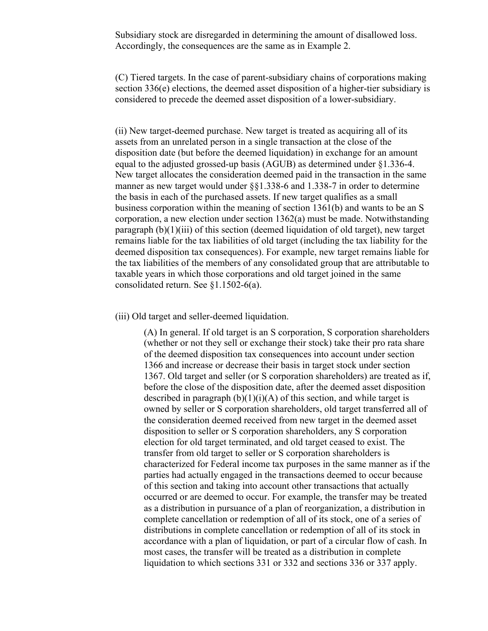Subsidiary stock are disregarded in determining the amount of disallowed loss. Accordingly, the consequences are the same as in Example 2.

(C) Tiered targets. In the case of parent-subsidiary chains of corporations making section 336(e) elections, the deemed asset disposition of a higher-tier subsidiary is considered to precede the deemed asset disposition of a lower-subsidiary.

(ii) New target-deemed purchase. New target is treated as acquiring all of its assets from an unrelated person in a single transaction at the close of the disposition date (but before the deemed liquidation) in exchange for an amount equal to the adjusted grossed-up basis (AGUB) as determined under §1.336-4. New target allocates the consideration deemed paid in the transaction in the same manner as new target would under §§1.338-6 and 1.338-7 in order to determine the basis in each of the purchased assets. If new target qualifies as a small business corporation within the meaning of section 1361(b) and wants to be an S corporation, a new election under section 1362(a) must be made. Notwithstanding paragraph (b)(1)(iii) of this section (deemed liquidation of old target), new target remains liable for the tax liabilities of old target (including the tax liability for the deemed disposition tax consequences). For example, new target remains liable for the tax liabilities of the members of any consolidated group that are attributable to taxable years in which those corporations and old target joined in the same consolidated return. See §1.1502-6(a).

(iii) Old target and seller-deemed liquidation.

(A) In general. If old target is an S corporation, S corporation shareholders (whether or not they sell or exchange their stock) take their pro rata share of the deemed disposition tax consequences into account under section 1366 and increase or decrease their basis in target stock under section 1367. Old target and seller (or S corporation shareholders) are treated as if, before the close of the disposition date, after the deemed asset disposition described in paragraph  $(b)(1)(i)(A)$  of this section, and while target is owned by seller or S corporation shareholders, old target transferred all of the consideration deemed received from new target in the deemed asset disposition to seller or S corporation shareholders, any S corporation election for old target terminated, and old target ceased to exist. The transfer from old target to seller or S corporation shareholders is characterized for Federal income tax purposes in the same manner as if the parties had actually engaged in the transactions deemed to occur because of this section and taking into account other transactions that actually occurred or are deemed to occur. For example, the transfer may be treated as a distribution in pursuance of a plan of reorganization, a distribution in complete cancellation or redemption of all of its stock, one of a series of distributions in complete cancellation or redemption of all of its stock in accordance with a plan of liquidation, or part of a circular flow of cash. In most cases, the transfer will be treated as a distribution in complete liquidation to which sections 331 or 332 and sections 336 or 337 apply.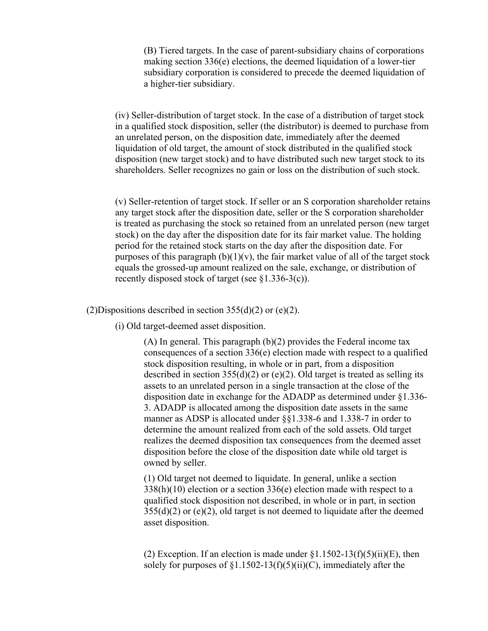(B) Tiered targets. In the case of parent-subsidiary chains of corporations making section 336(e) elections, the deemed liquidation of a lower-tier subsidiary corporation is considered to precede the deemed liquidation of a higher-tier subsidiary.

(iv) Seller-distribution of target stock. In the case of a distribution of target stock in a qualified stock disposition, seller (the distributor) is deemed to purchase from an unrelated person, on the disposition date, immediately after the deemed liquidation of old target, the amount of stock distributed in the qualified stock disposition (new target stock) and to have distributed such new target stock to its shareholders. Seller recognizes no gain or loss on the distribution of such stock.

(v) Seller-retention of target stock. If seller or an S corporation shareholder retains any target stock after the disposition date, seller or the S corporation shareholder is treated as purchasing the stock so retained from an unrelated person (new target stock) on the day after the disposition date for its fair market value. The holding period for the retained stock starts on the day after the disposition date. For purposes of this paragraph  $(b)(1)(v)$ , the fair market value of all of the target stock equals the grossed-up amount realized on the sale, exchange, or distribution of recently disposed stock of target (see §1.336-3(c)).

(2)Dispositions described in section  $355(d)(2)$  or (e)(2).

(i) Old target-deemed asset disposition.

 $(A)$  In general. This paragraph  $(b)(2)$  provides the Federal income tax consequences of a section 336(e) election made with respect to a qualified stock disposition resulting, in whole or in part, from a disposition described in section  $355(d)(2)$  or (e)(2). Old target is treated as selling its assets to an unrelated person in a single transaction at the close of the disposition date in exchange for the ADADP as determined under §1.336- 3. ADADP is allocated among the disposition date assets in the same manner as ADSP is allocated under §§1.338-6 and 1.338-7 in order to determine the amount realized from each of the sold assets. Old target realizes the deemed disposition tax consequences from the deemed asset disposition before the close of the disposition date while old target is owned by seller.

(1) Old target not deemed to liquidate. In general, unlike a section  $338(h)(10)$  election or a section  $336(e)$  election made with respect to a qualified stock disposition not described, in whole or in part, in section  $355(d)(2)$  or (e)(2), old target is not deemed to liquidate after the deemed asset disposition.

(2) Exception. If an election is made under  $\S1.1502-13(f)(5)(ii)(E)$ , then solely for purposes of  $\S1.1502-13(f)(5)(ii)(C)$ , immediately after the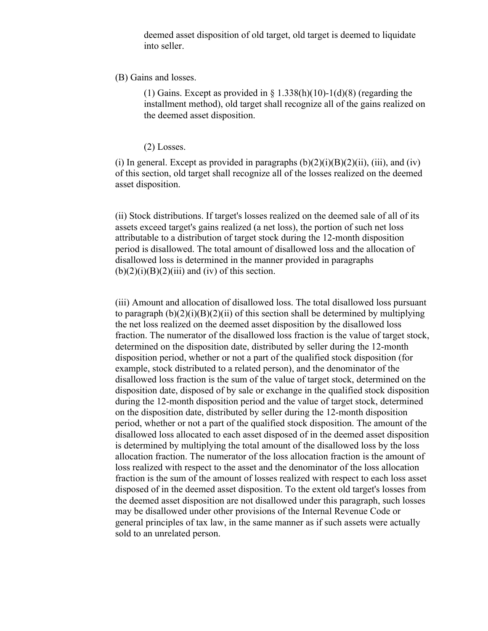deemed asset disposition of old target, old target is deemed to liquidate into seller.

#### (B) Gains and losses.

(1) Gains. Except as provided in  $\S$  1.338(h)(10)-1(d)(8) (regarding the installment method), old target shall recognize all of the gains realized on the deemed asset disposition.

(2) Losses.

(i) In general. Except as provided in paragraphs  $(b)(2)(i)(B)(2)(ii)$ , (iii), and (iv) of this section, old target shall recognize all of the losses realized on the deemed asset disposition.

(ii) Stock distributions. If target's losses realized on the deemed sale of all of its assets exceed target's gains realized (a net loss), the portion of such net loss attributable to a distribution of target stock during the 12-month disposition period is disallowed. The total amount of disallowed loss and the allocation of disallowed loss is determined in the manner provided in paragraphs  $(b)(2)(i)(B)(2)(iii)$  and (iv) of this section.

(iii) Amount and allocation of disallowed loss. The total disallowed loss pursuant to paragraph  $(b)(2)(i)(B)(2)(ii)$  of this section shall be determined by multiplying the net loss realized on the deemed asset disposition by the disallowed loss fraction. The numerator of the disallowed loss fraction is the value of target stock, determined on the disposition date, distributed by seller during the 12-month disposition period, whether or not a part of the qualified stock disposition (for example, stock distributed to a related person), and the denominator of the disallowed loss fraction is the sum of the value of target stock, determined on the disposition date, disposed of by sale or exchange in the qualified stock disposition during the 12-month disposition period and the value of target stock, determined on the disposition date, distributed by seller during the 12-month disposition period, whether or not a part of the qualified stock disposition. The amount of the disallowed loss allocated to each asset disposed of in the deemed asset disposition is determined by multiplying the total amount of the disallowed loss by the loss allocation fraction. The numerator of the loss allocation fraction is the amount of loss realized with respect to the asset and the denominator of the loss allocation fraction is the sum of the amount of losses realized with respect to each loss asset disposed of in the deemed asset disposition. To the extent old target's losses from the deemed asset disposition are not disallowed under this paragraph, such losses may be disallowed under other provisions of the Internal Revenue Code or general principles of tax law, in the same manner as if such assets were actually sold to an unrelated person.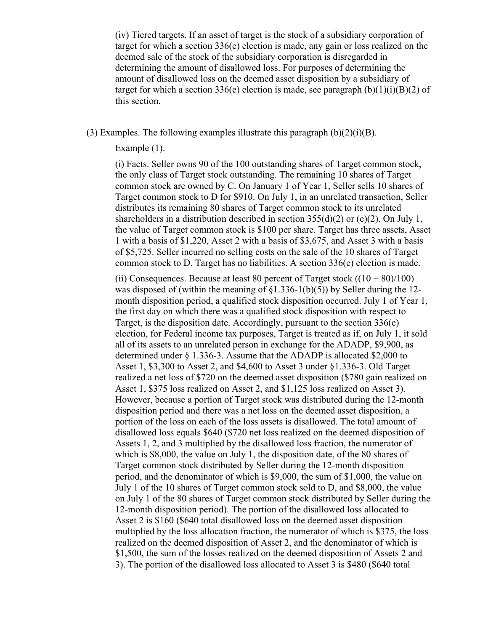(iv) Tiered targets. If an asset of target is the stock of a subsidiary corporation of target for which a section 336(e) election is made, any gain or loss realized on the deemed sale of the stock of the subsidiary corporation is disregarded in determining the amount of disallowed loss. For purposes of determining the amount of disallowed loss on the deemed asset disposition by a subsidiary of target for which a section 336(e) election is made, see paragraph  $(b)(1)(i)(B)(2)$  of this section.

(3) Examples. The following examples illustrate this paragraph  $(b)(2)(i)(B)$ .

## Example (1).

(i) Facts. Seller owns 90 of the 100 outstanding shares of Target common stock, the only class of Target stock outstanding. The remaining 10 shares of Target common stock are owned by C. On January 1 of Year 1, Seller sells 10 shares of Target common stock to D for \$910. On July 1, in an unrelated transaction, Seller distributes its remaining 80 shares of Target common stock to its unrelated shareholders in a distribution described in section  $355(d)(2)$  or (e)(2). On July 1, the value of Target common stock is \$100 per share. Target has three assets, Asset 1 with a basis of \$1,220, Asset 2 with a basis of \$3,675, and Asset 3 with a basis of \$5,725. Seller incurred no selling costs on the sale of the 10 shares of Target common stock to D. Target has no liabilities. A section 336(e) election is made.

(ii) Consequences. Because at least 80 percent of Target stock  $((10 + 80)/100)$ was disposed of (within the meaning of §1.336-1(b)(5)) by Seller during the 12 month disposition period, a qualified stock disposition occurred. July 1 of Year 1, the first day on which there was a qualified stock disposition with respect to Target, is the disposition date. Accordingly, pursuant to the section 336(e) election, for Federal income tax purposes, Target is treated as if, on July 1, it sold all of its assets to an unrelated person in exchange for the ADADP, \$9,900, as determined under § 1.336-3. Assume that the ADADP is allocated \$2,000 to Asset 1, \$3,300 to Asset 2, and \$4,600 to Asset 3 under §1.336-3. Old Target realized a net loss of \$720 on the deemed asset disposition (\$780 gain realized on Asset 1, \$375 loss realized on Asset 2, and \$1,125 loss realized on Asset 3). However, because a portion of Target stock was distributed during the 12-month disposition period and there was a net loss on the deemed asset disposition, a portion of the loss on each of the loss assets is disallowed. The total amount of disallowed loss equals \$640 (\$720 net loss realized on the deemed disposition of Assets 1, 2, and 3 multiplied by the disallowed loss fraction, the numerator of which is \$8,000, the value on July 1, the disposition date, of the 80 shares of Target common stock distributed by Seller during the 12-month disposition period, and the denominator of which is \$9,000, the sum of \$1,000, the value on July 1 of the 10 shares of Target common stock sold to D, and \$8,000, the value on July 1 of the 80 shares of Target common stock distributed by Seller during the 12-month disposition period). The portion of the disallowed loss allocated to Asset 2 is \$160 (\$640 total disallowed loss on the deemed asset disposition multiplied by the loss allocation fraction, the numerator of which is \$375, the loss realized on the deemed disposition of Asset 2, and the denominator of which is \$1,500, the sum of the losses realized on the deemed disposition of Assets 2 and 3). The portion of the disallowed loss allocated to Asset 3 is \$480 (\$640 total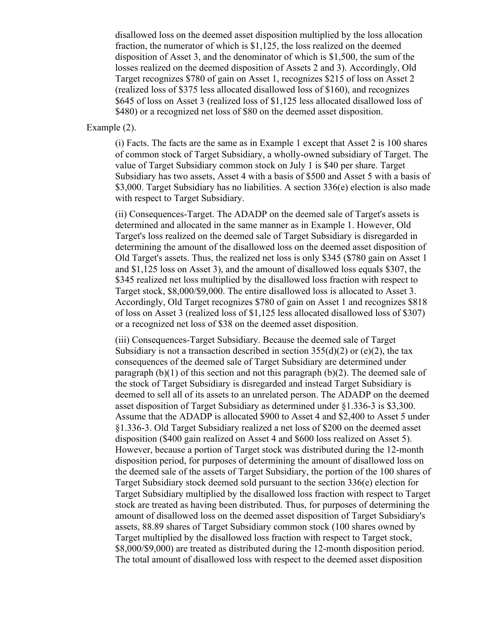disallowed loss on the deemed asset disposition multiplied by the loss allocation fraction, the numerator of which is \$1,125, the loss realized on the deemed disposition of Asset 3, and the denominator of which is \$1,500, the sum of the losses realized on the deemed disposition of Assets 2 and 3). Accordingly, Old Target recognizes \$780 of gain on Asset 1, recognizes \$215 of loss on Asset 2 (realized loss of \$375 less allocated disallowed loss of \$160), and recognizes \$645 of loss on Asset 3 (realized loss of \$1,125 less allocated disallowed loss of \$480) or a recognized net loss of \$80 on the deemed asset disposition.

## Example (2).

(i) Facts. The facts are the same as in Example 1 except that Asset 2 is 100 shares of common stock of Target Subsidiary, a wholly-owned subsidiary of Target. The value of Target Subsidiary common stock on July 1 is \$40 per share. Target Subsidiary has two assets, Asset 4 with a basis of \$500 and Asset 5 with a basis of \$3,000. Target Subsidiary has no liabilities. A section 336(e) election is also made with respect to Target Subsidiary.

(ii) Consequences-Target. The ADADP on the deemed sale of Target's assets is determined and allocated in the same manner as in Example 1. However, Old Target's loss realized on the deemed sale of Target Subsidiary is disregarded in determining the amount of the disallowed loss on the deemed asset disposition of Old Target's assets. Thus, the realized net loss is only \$345 (\$780 gain on Asset 1 and \$1,125 loss on Asset 3), and the amount of disallowed loss equals \$307, the \$345 realized net loss multiplied by the disallowed loss fraction with respect to Target stock, \$8,000/\$9,000. The entire disallowed loss is allocated to Asset 3. Accordingly, Old Target recognizes \$780 of gain on Asset 1 and recognizes \$818 of loss on Asset 3 (realized loss of \$1,125 less allocated disallowed loss of \$307) or a recognized net loss of \$38 on the deemed asset disposition.

(iii) Consequences-Target Subsidiary. Because the deemed sale of Target Subsidiary is not a transaction described in section  $355(d)(2)$  or (e)(2), the tax consequences of the deemed sale of Target Subsidiary are determined under paragraph  $(b)(1)$  of this section and not this paragraph  $(b)(2)$ . The deemed sale of the stock of Target Subsidiary is disregarded and instead Target Subsidiary is deemed to sell all of its assets to an unrelated person. The ADADP on the deemed asset disposition of Target Subsidiary as determined under §1.336-3 is \$3,300. Assume that the ADADP is allocated \$900 to Asset 4 and \$2,400 to Asset 5 under §1.336-3. Old Target Subsidiary realized a net loss of \$200 on the deemed asset disposition (\$400 gain realized on Asset 4 and \$600 loss realized on Asset 5). However, because a portion of Target stock was distributed during the 12-month disposition period, for purposes of determining the amount of disallowed loss on the deemed sale of the assets of Target Subsidiary, the portion of the 100 shares of Target Subsidiary stock deemed sold pursuant to the section 336(e) election for Target Subsidiary multiplied by the disallowed loss fraction with respect to Target stock are treated as having been distributed. Thus, for purposes of determining the amount of disallowed loss on the deemed asset disposition of Target Subsidiary's assets, 88.89 shares of Target Subsidiary common stock (100 shares owned by Target multiplied by the disallowed loss fraction with respect to Target stock, \$8,000/\$9,000) are treated as distributed during the 12-month disposition period. The total amount of disallowed loss with respect to the deemed asset disposition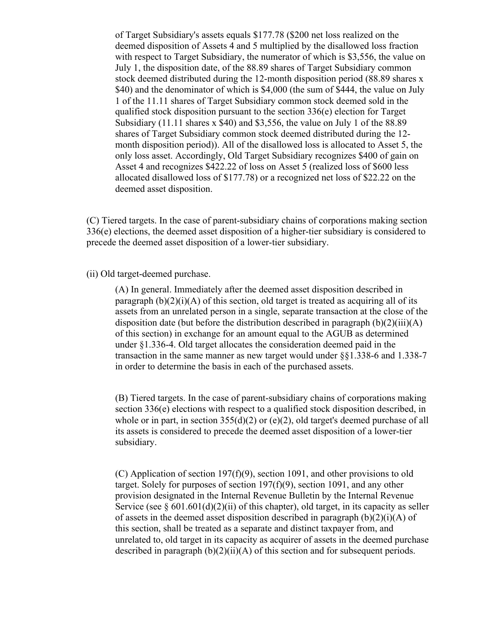of Target Subsidiary's assets equals \$177.78 (\$200 net loss realized on the deemed disposition of Assets 4 and 5 multiplied by the disallowed loss fraction with respect to Target Subsidiary, the numerator of which is \$3,556, the value on July 1, the disposition date, of the 88.89 shares of Target Subsidiary common stock deemed distributed during the 12-month disposition period (88.89 shares x \$40) and the denominator of which is \$4,000 (the sum of \$444, the value on July 1 of the 11.11 shares of Target Subsidiary common stock deemed sold in the qualified stock disposition pursuant to the section 336(e) election for Target Subsidiary (11.11 shares x \$40) and \$3,556, the value on July 1 of the 88.89 shares of Target Subsidiary common stock deemed distributed during the 12 month disposition period)). All of the disallowed loss is allocated to Asset 5, the only loss asset. Accordingly, Old Target Subsidiary recognizes \$400 of gain on Asset 4 and recognizes \$422.22 of loss on Asset 5 (realized loss of \$600 less allocated disallowed loss of \$177.78) or a recognized net loss of \$22.22 on the deemed asset disposition.

(C) Tiered targets. In the case of parent-subsidiary chains of corporations making section 336(e) elections, the deemed asset disposition of a higher-tier subsidiary is considered to precede the deemed asset disposition of a lower-tier subsidiary.

#### (ii) Old target-deemed purchase.

(A) In general. Immediately after the deemed asset disposition described in paragraph  $(b)(2)(i)(A)$  of this section, old target is treated as acquiring all of its assets from an unrelated person in a single, separate transaction at the close of the disposition date (but before the distribution described in paragraph  $(b)(2)(iii)(A)$ of this section) in exchange for an amount equal to the AGUB as determined under §1.336-4. Old target allocates the consideration deemed paid in the transaction in the same manner as new target would under §§1.338-6 and 1.338-7 in order to determine the basis in each of the purchased assets.

(B) Tiered targets. In the case of parent-subsidiary chains of corporations making section 336(e) elections with respect to a qualified stock disposition described, in whole or in part, in section 355(d)(2) or (e)(2), old target's deemed purchase of all its assets is considered to precede the deemed asset disposition of a lower-tier subsidiary.

(C) Application of section 197(f)(9), section 1091, and other provisions to old target. Solely for purposes of section 197(f)(9), section 1091, and any other provision designated in the Internal Revenue Bulletin by the Internal Revenue Service (see  $\S 601.601(d)(2)(ii)$  of this chapter), old target, in its capacity as seller of assets in the deemed asset disposition described in paragraph  $(b)(2)(i)(A)$  of this section, shall be treated as a separate and distinct taxpayer from, and unrelated to, old target in its capacity as acquirer of assets in the deemed purchase described in paragraph  $(b)(2)(ii)(A)$  of this section and for subsequent periods.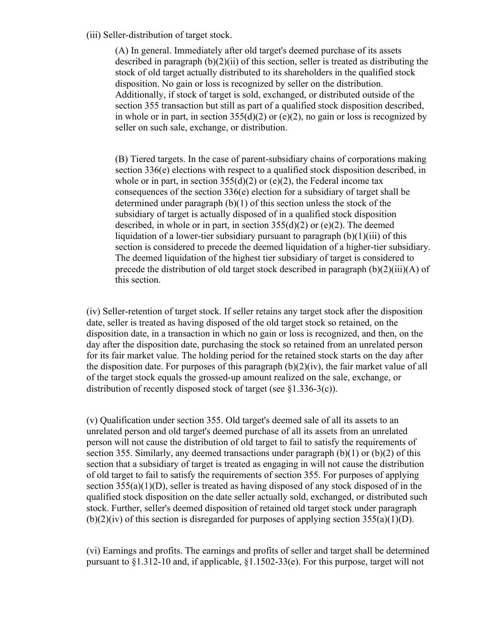(iii) Seller-distribution of target stock.

(A) In general. Immediately after old target's deemed purchase of its assets described in paragraph  $(b)(2)(ii)$  of this section, seller is treated as distributing the stock of old target actually distributed to its shareholders in the qualified stock disposition. No gain or loss is recognized by seller on the distribution. Additionally, if stock of target is sold, exchanged, or distributed outside of the section 355 transaction but still as part of a qualified stock disposition described, in whole or in part, in section  $355(d)(2)$  or (e)(2), no gain or loss is recognized by seller on such sale, exchange, or distribution.

(B) Tiered targets. In the case of parent-subsidiary chains of corporations making section 336(e) elections with respect to a qualified stock disposition described, in whole or in part, in section  $355(d)(2)$  or (e)(2), the Federal income tax consequences of the section 336(e) election for a subsidiary of target shall be determined under paragraph (b)(1) of this section unless the stock of the subsidiary of target is actually disposed of in a qualified stock disposition described, in whole or in part, in section  $355(d)(2)$  or (e)(2). The deemed liquidation of a lower-tier subsidiary pursuant to paragraph  $(b)(1)(iii)$  of this section is considered to precede the deemed liquidation of a higher-tier subsidiary. The deemed liquidation of the highest tier subsidiary of target is considered to precede the distribution of old target stock described in paragraph (b)(2)(iii)(A) of this section.

(iv) Seller-retention of target stock. If seller retains any target stock after the disposition date, seller is treated as having disposed of the old target stock so retained, on the disposition date, in a transaction in which no gain or loss is recognized, and then, on the day after the disposition date, purchasing the stock so retained from an unrelated person for its fair market value. The holding period for the retained stock starts on the day after the disposition date. For purposes of this paragraph  $(b)(2)(iv)$ , the fair market value of all of the target stock equals the grossed-up amount realized on the sale, exchange, or distribution of recently disposed stock of target (see §1.336-3(c)).

(v) Qualification under section 355. Old target's deemed sale of all its assets to an unrelated person and old target's deemed purchase of all its assets from an unrelated person will not cause the distribution of old target to fail to satisfy the requirements of section 355. Similarly, any deemed transactions under paragraph  $(b)(1)$  or  $(b)(2)$  of this section that a subsidiary of target is treated as engaging in will not cause the distribution of old target to fail to satisfy the requirements of section 355. For purposes of applying section 355(a)(1)(D), seller is treated as having disposed of any stock disposed of in the qualified stock disposition on the date seller actually sold, exchanged, or distributed such stock. Further, seller's deemed disposition of retained old target stock under paragraph  $(b)(2)(iv)$  of this section is disregarded for purposes of applying section 355(a)(1)(D).

(vi) Earnings and profits. The earnings and profits of seller and target shall be determined pursuant to §1.312-10 and, if applicable, §1.1502-33(e). For this purpose, target will not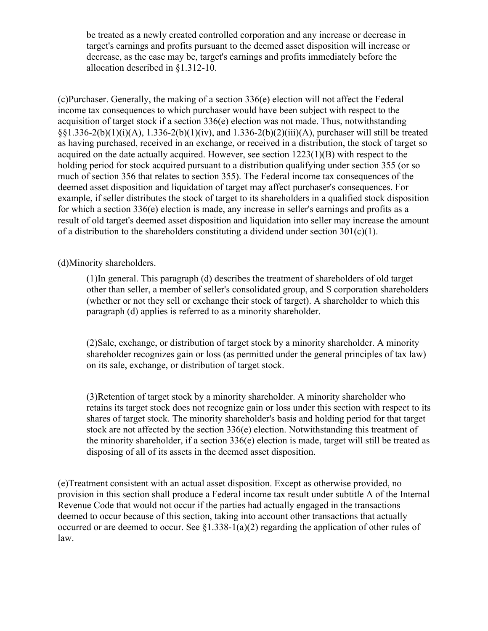be treated as a newly created controlled corporation and any increase or decrease in target's earnings and profits pursuant to the deemed asset disposition will increase or decrease, as the case may be, target's earnings and profits immediately before the allocation described in §1.312-10.

(c)Purchaser. Generally, the making of a section 336(e) election will not affect the Federal income tax consequences to which purchaser would have been subject with respect to the acquisition of target stock if a section 336(e) election was not made. Thus, notwithstanding §§1.336-2(b)(1)(i)(A), 1.336-2(b)(1)(iv), and 1.336-2(b)(2)(iii)(A), purchaser will still be treated as having purchased, received in an exchange, or received in a distribution, the stock of target so acquired on the date actually acquired. However, see section  $1223(1)(B)$  with respect to the holding period for stock acquired pursuant to a distribution qualifying under section 355 (or so much of section 356 that relates to section 355). The Federal income tax consequences of the deemed asset disposition and liquidation of target may affect purchaser's consequences. For example, if seller distributes the stock of target to its shareholders in a qualified stock disposition for which a section  $336(e)$  election is made, any increase in seller's earnings and profits as a result of old target's deemed asset disposition and liquidation into seller may increase the amount of a distribution to the shareholders constituting a dividend under section  $301(c)(1)$ .

(d)Minority shareholders.

(1)In general. This paragraph (d) describes the treatment of shareholders of old target other than seller, a member of seller's consolidated group, and S corporation shareholders (whether or not they sell or exchange their stock of target). A shareholder to which this paragraph (d) applies is referred to as a minority shareholder.

(2)Sale, exchange, or distribution of target stock by a minority shareholder. A minority shareholder recognizes gain or loss (as permitted under the general principles of tax law) on its sale, exchange, or distribution of target stock.

(3)Retention of target stock by a minority shareholder. A minority shareholder who retains its target stock does not recognize gain or loss under this section with respect to its shares of target stock. The minority shareholder's basis and holding period for that target stock are not affected by the section 336(e) election. Notwithstanding this treatment of the minority shareholder, if a section 336(e) election is made, target will still be treated as disposing of all of its assets in the deemed asset disposition.

(e)Treatment consistent with an actual asset disposition. Except as otherwise provided, no provision in this section shall produce a Federal income tax result under subtitle A of the Internal Revenue Code that would not occur if the parties had actually engaged in the transactions deemed to occur because of this section, taking into account other transactions that actually occurred or are deemed to occur. See §1.338-1(a)(2) regarding the application of other rules of law.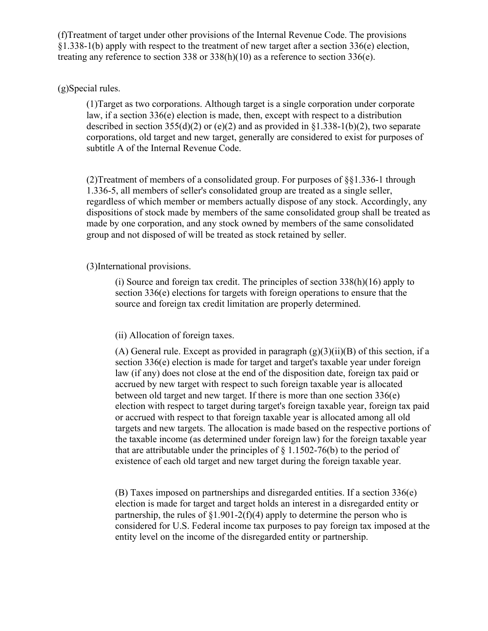(f)Treatment of target under other provisions of the Internal Revenue Code. The provisions §1.338-1(b) apply with respect to the treatment of new target after a section 336(e) election, treating any reference to section 338 or 338(h)(10) as a reference to section 336(e).

# (g)Special rules.

(1)Target as two corporations. Although target is a single corporation under corporate law, if a section 336(e) election is made, then, except with respect to a distribution described in section 355(d)(2) or (e)(2) and as provided in  $\S1.338-1(b)(2)$ , two separate corporations, old target and new target, generally are considered to exist for purposes of subtitle A of the Internal Revenue Code.

(2)Treatment of members of a consolidated group. For purposes of §§1.336-1 through 1.336-5, all members of seller's consolidated group are treated as a single seller, regardless of which member or members actually dispose of any stock. Accordingly, any dispositions of stock made by members of the same consolidated group shall be treated as made by one corporation, and any stock owned by members of the same consolidated group and not disposed of will be treated as stock retained by seller.

## (3)International provisions.

(i) Source and foreign tax credit. The principles of section 338(h)(16) apply to section 336(e) elections for targets with foreign operations to ensure that the source and foreign tax credit limitation are properly determined.

## (ii) Allocation of foreign taxes.

(A) General rule. Except as provided in paragraph  $(g)(3)(ii)(B)$  of this section, if a section 336(e) election is made for target and target's taxable year under foreign law (if any) does not close at the end of the disposition date, foreign tax paid or accrued by new target with respect to such foreign taxable year is allocated between old target and new target. If there is more than one section 336(e) election with respect to target during target's foreign taxable year, foreign tax paid or accrued with respect to that foreign taxable year is allocated among all old targets and new targets. The allocation is made based on the respective portions of the taxable income (as determined under foreign law) for the foreign taxable year that are attributable under the principles of  $\S$  1.1502-76(b) to the period of existence of each old target and new target during the foreign taxable year.

(B) Taxes imposed on partnerships and disregarded entities. If a section 336(e) election is made for target and target holds an interest in a disregarded entity or partnership, the rules of  $\S1.901-2(f)(4)$  apply to determine the person who is considered for U.S. Federal income tax purposes to pay foreign tax imposed at the entity level on the income of the disregarded entity or partnership.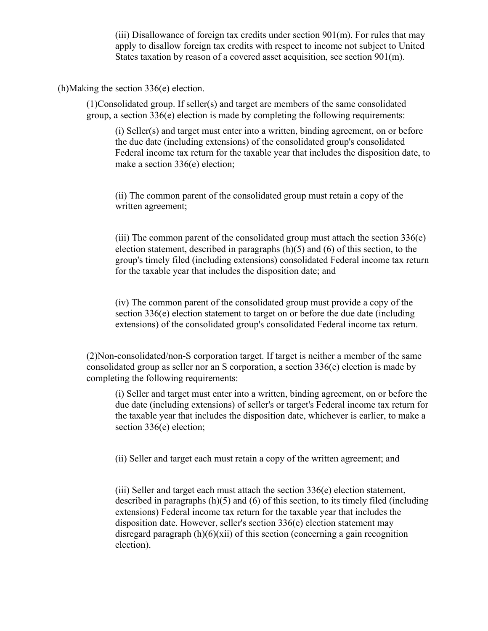(iii) Disallowance of foreign tax credits under section  $901$ (m). For rules that may apply to disallow foreign tax credits with respect to income not subject to United States taxation by reason of a covered asset acquisition, see section 901(m).

(h)Making the section 336(e) election.

(1)Consolidated group. If seller(s) and target are members of the same consolidated group, a section 336(e) election is made by completing the following requirements:

(i) Seller(s) and target must enter into a written, binding agreement, on or before the due date (including extensions) of the consolidated group's consolidated Federal income tax return for the taxable year that includes the disposition date, to make a section 336(e) election;

(ii) The common parent of the consolidated group must retain a copy of the written agreement;

(iii) The common parent of the consolidated group must attach the section 336(e) election statement, described in paragraphs (h)(5) and (6) of this section, to the group's timely filed (including extensions) consolidated Federal income tax return for the taxable year that includes the disposition date; and

(iv) The common parent of the consolidated group must provide a copy of the section 336(e) election statement to target on or before the due date (including extensions) of the consolidated group's consolidated Federal income tax return.

(2)Non-consolidated/non-S corporation target. If target is neither a member of the same consolidated group as seller nor an S corporation, a section 336(e) election is made by completing the following requirements:

(i) Seller and target must enter into a written, binding agreement, on or before the due date (including extensions) of seller's or target's Federal income tax return for the taxable year that includes the disposition date, whichever is earlier, to make a section 336(e) election;

(ii) Seller and target each must retain a copy of the written agreement; and

(iii) Seller and target each must attach the section 336(e) election statement, described in paragraphs (h)(5) and (6) of this section, to its timely filed (including extensions) Federal income tax return for the taxable year that includes the disposition date. However, seller's section 336(e) election statement may disregard paragraph  $(h)(6)(xii)$  of this section (concerning a gain recognition election).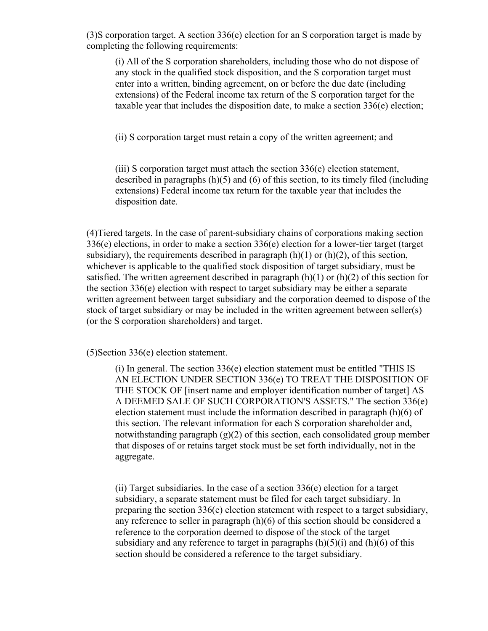(3)S corporation target. A section 336(e) election for an S corporation target is made by completing the following requirements:

(i) All of the S corporation shareholders, including those who do not dispose of any stock in the qualified stock disposition, and the S corporation target must enter into a written, binding agreement, on or before the due date (including extensions) of the Federal income tax return of the S corporation target for the taxable year that includes the disposition date, to make a section 336(e) election;

(ii) S corporation target must retain a copy of the written agreement; and

(iii) S corporation target must attach the section 336(e) election statement, described in paragraphs (h)(5) and (6) of this section, to its timely filed (including extensions) Federal income tax return for the taxable year that includes the disposition date.

(4)Tiered targets. In the case of parent-subsidiary chains of corporations making section 336(e) elections, in order to make a section 336(e) election for a lower-tier target (target subsidiary), the requirements described in paragraph  $(h)(1)$  or  $(h)(2)$ , of this section, whichever is applicable to the qualified stock disposition of target subsidiary, must be satisfied. The written agreement described in paragraph  $(h)(1)$  or  $(h)(2)$  of this section for the section 336(e) election with respect to target subsidiary may be either a separate written agreement between target subsidiary and the corporation deemed to dispose of the stock of target subsidiary or may be included in the written agreement between seller(s) (or the S corporation shareholders) and target.

(5)Section 336(e) election statement.

(i) In general. The section 336(e) election statement must be entitled "THIS IS AN ELECTION UNDER SECTION 336(e) TO TREAT THE DISPOSITION OF THE STOCK OF [insert name and employer identification number of target] AS A DEEMED SALE OF SUCH CORPORATION'S ASSETS." The section 336(e) election statement must include the information described in paragraph (h)(6) of this section. The relevant information for each S corporation shareholder and, notwithstanding paragraph  $(g)(2)$  of this section, each consolidated group member that disposes of or retains target stock must be set forth individually, not in the aggregate.

(ii) Target subsidiaries. In the case of a section 336(e) election for a target subsidiary, a separate statement must be filed for each target subsidiary. In preparing the section 336(e) election statement with respect to a target subsidiary, any reference to seller in paragraph  $(h)(6)$  of this section should be considered a reference to the corporation deemed to dispose of the stock of the target subsidiary and any reference to target in paragraphs  $(h)(5)(i)$  and  $(h)(6)$  of this section should be considered a reference to the target subsidiary.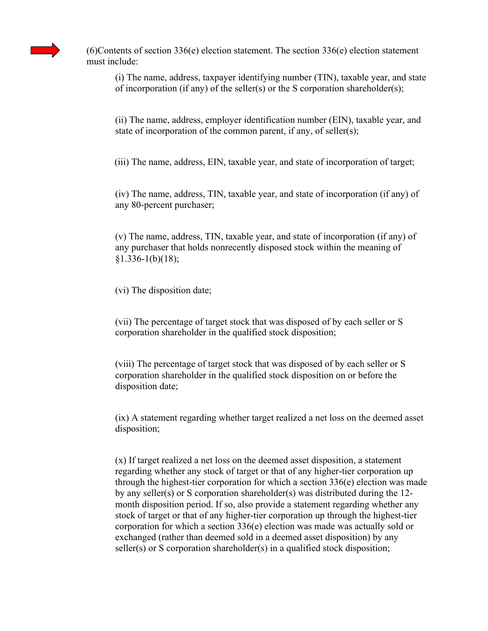

 $(6)$ Contents of section 336(e) election statement. The section 336(e) election statement must include:

(i) The name, address, taxpayer identifying number (TIN), taxable year, and state of incorporation (if any) of the seller(s) or the S corporation shareholder(s);

(ii) The name, address, employer identification number (EIN), taxable year, and state of incorporation of the common parent, if any, of seller(s);

(iii) The name, address, EIN, taxable year, and state of incorporation of target;

(iv) The name, address, TIN, taxable year, and state of incorporation (if any) of any 80-percent purchaser;

(v) The name, address, TIN, taxable year, and state of incorporation (if any) of any purchaser that holds nonrecently disposed stock within the meaning of  $§1.336-1(b)(18);$ 

(vi) The disposition date;

(vii) The percentage of target stock that was disposed of by each seller or S corporation shareholder in the qualified stock disposition;

(viii) The percentage of target stock that was disposed of by each seller or S corporation shareholder in the qualified stock disposition on or before the disposition date;

(ix) A statement regarding whether target realized a net loss on the deemed asset disposition;

(x) If target realized a net loss on the deemed asset disposition, a statement regarding whether any stock of target or that of any higher-tier corporation up through the highest-tier corporation for which a section 336(e) election was made by any seller(s) or S corporation shareholder(s) was distributed during the 12 month disposition period. If so, also provide a statement regarding whether any stock of target or that of any higher-tier corporation up through the highest-tier corporation for which a section 336(e) election was made was actually sold or exchanged (rather than deemed sold in a deemed asset disposition) by any seller(s) or S corporation shareholder(s) in a qualified stock disposition;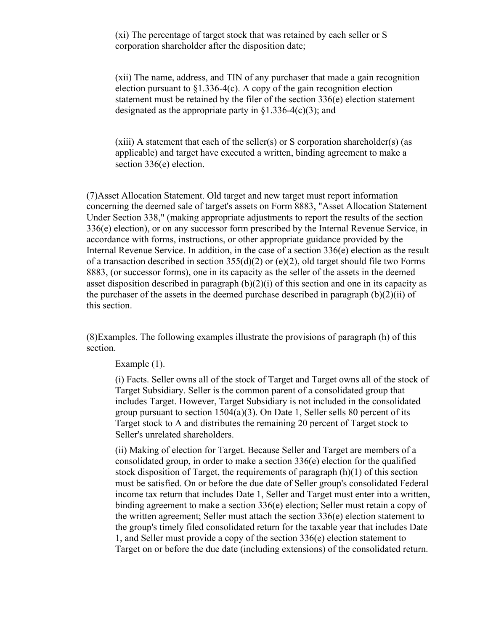(xi) The percentage of target stock that was retained by each seller or S corporation shareholder after the disposition date;

(xii) The name, address, and TIN of any purchaser that made a gain recognition election pursuant to  $\S1.336-4(c)$ . A copy of the gain recognition election statement must be retained by the filer of the section 336(e) election statement designated as the appropriate party in  $\S1.336-4(c)(3)$ ; and

 $(xiii)$  A statement that each of the seller(s) or S corporation shareholder(s) (as applicable) and target have executed a written, binding agreement to make a section 336(e) election.

(7)Asset Allocation Statement. Old target and new target must report information concerning the deemed sale of target's assets on Form 8883, "Asset Allocation Statement Under Section 338," (making appropriate adjustments to report the results of the section 336(e) election), or on any successor form prescribed by the Internal Revenue Service, in accordance with forms, instructions, or other appropriate guidance provided by the Internal Revenue Service. In addition, in the case of a section 336(e) election as the result of a transaction described in section  $355(d)(2)$  or (e)(2), old target should file two Forms 8883, (or successor forms), one in its capacity as the seller of the assets in the deemed asset disposition described in paragraph  $(b)(2)(i)$  of this section and one in its capacity as the purchaser of the assets in the deemed purchase described in paragraph  $(b)(2)(ii)$  of this section.

(8)Examples. The following examples illustrate the provisions of paragraph (h) of this section.

## Example (1).

(i) Facts. Seller owns all of the stock of Target and Target owns all of the stock of Target Subsidiary. Seller is the common parent of a consolidated group that includes Target. However, Target Subsidiary is not included in the consolidated group pursuant to section 1504(a)(3). On Date 1, Seller sells 80 percent of its Target stock to A and distributes the remaining 20 percent of Target stock to Seller's unrelated shareholders.

(ii) Making of election for Target. Because Seller and Target are members of a consolidated group, in order to make a section 336(e) election for the qualified stock disposition of Target, the requirements of paragraph (h)(1) of this section must be satisfied. On or before the due date of Seller group's consolidated Federal income tax return that includes Date 1, Seller and Target must enter into a written, binding agreement to make a section 336(e) election; Seller must retain a copy of the written agreement; Seller must attach the section 336(e) election statement to the group's timely filed consolidated return for the taxable year that includes Date 1, and Seller must provide a copy of the section 336(e) election statement to Target on or before the due date (including extensions) of the consolidated return.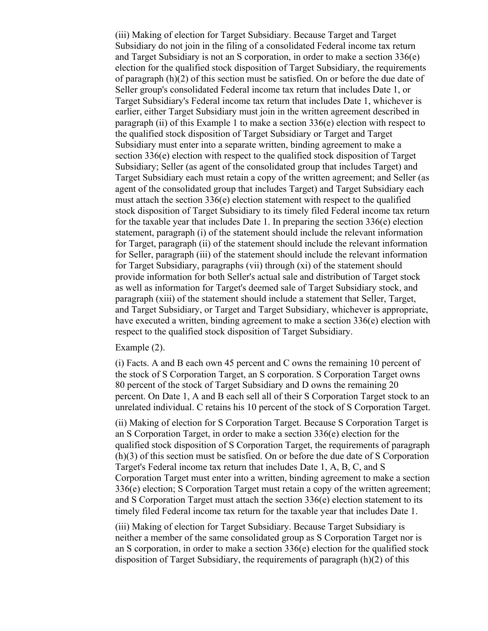(iii) Making of election for Target Subsidiary. Because Target and Target Subsidiary do not join in the filing of a consolidated Federal income tax return and Target Subsidiary is not an S corporation, in order to make a section 336(e) election for the qualified stock disposition of Target Subsidiary, the requirements of paragraph (h)(2) of this section must be satisfied. On or before the due date of Seller group's consolidated Federal income tax return that includes Date 1, or Target Subsidiary's Federal income tax return that includes Date 1, whichever is earlier, either Target Subsidiary must join in the written agreement described in paragraph (ii) of this Example 1 to make a section 336(e) election with respect to the qualified stock disposition of Target Subsidiary or Target and Target Subsidiary must enter into a separate written, binding agreement to make a section 336(e) election with respect to the qualified stock disposition of Target Subsidiary; Seller (as agent of the consolidated group that includes Target) and Target Subsidiary each must retain a copy of the written agreement; and Seller (as agent of the consolidated group that includes Target) and Target Subsidiary each must attach the section 336(e) election statement with respect to the qualified stock disposition of Target Subsidiary to its timely filed Federal income tax return for the taxable year that includes Date 1. In preparing the section 336(e) election statement, paragraph (i) of the statement should include the relevant information for Target, paragraph (ii) of the statement should include the relevant information for Seller, paragraph (iii) of the statement should include the relevant information for Target Subsidiary, paragraphs (vii) through (xi) of the statement should provide information for both Seller's actual sale and distribution of Target stock as well as information for Target's deemed sale of Target Subsidiary stock, and paragraph (xiii) of the statement should include a statement that Seller, Target, and Target Subsidiary, or Target and Target Subsidiary, whichever is appropriate, have executed a written, binding agreement to make a section 336(e) election with respect to the qualified stock disposition of Target Subsidiary.

#### Example (2).

(i) Facts. A and B each own 45 percent and C owns the remaining 10 percent of the stock of S Corporation Target, an S corporation. S Corporation Target owns 80 percent of the stock of Target Subsidiary and D owns the remaining 20 percent. On Date 1, A and B each sell all of their S Corporation Target stock to an unrelated individual. C retains his 10 percent of the stock of S Corporation Target.

(ii) Making of election for S Corporation Target. Because S Corporation Target is an S Corporation Target, in order to make a section 336(e) election for the qualified stock disposition of S Corporation Target, the requirements of paragraph (h)(3) of this section must be satisfied. On or before the due date of S Corporation Target's Federal income tax return that includes Date 1, A, B, C, and S Corporation Target must enter into a written, binding agreement to make a section 336(e) election; S Corporation Target must retain a copy of the written agreement; and S Corporation Target must attach the section  $336(e)$  election statement to its timely filed Federal income tax return for the taxable year that includes Date 1.

(iii) Making of election for Target Subsidiary. Because Target Subsidiary is neither a member of the same consolidated group as S Corporation Target nor is an S corporation, in order to make a section  $336(e)$  election for the qualified stock disposition of Target Subsidiary, the requirements of paragraph (h)(2) of this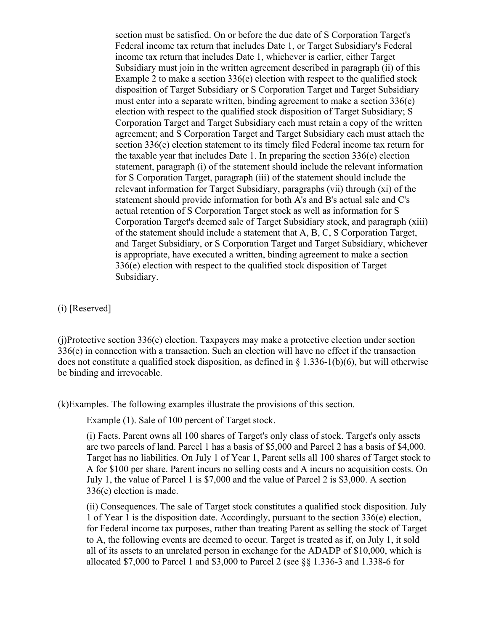section must be satisfied. On or before the due date of S Corporation Target's Federal income tax return that includes Date 1, or Target Subsidiary's Federal income tax return that includes Date 1, whichever is earlier, either Target Subsidiary must join in the written agreement described in paragraph (ii) of this Example 2 to make a section 336(e) election with respect to the qualified stock disposition of Target Subsidiary or S Corporation Target and Target Subsidiary must enter into a separate written, binding agreement to make a section 336(e) election with respect to the qualified stock disposition of Target Subsidiary; S Corporation Target and Target Subsidiary each must retain a copy of the written agreement; and S Corporation Target and Target Subsidiary each must attach the section 336(e) election statement to its timely filed Federal income tax return for the taxable year that includes Date 1. In preparing the section 336(e) election statement, paragraph (i) of the statement should include the relevant information for S Corporation Target, paragraph (iii) of the statement should include the relevant information for Target Subsidiary, paragraphs (vii) through (xi) of the statement should provide information for both A's and B's actual sale and C's actual retention of S Corporation Target stock as well as information for S Corporation Target's deemed sale of Target Subsidiary stock, and paragraph (xiii) of the statement should include a statement that A, B, C, S Corporation Target, and Target Subsidiary, or S Corporation Target and Target Subsidiary, whichever is appropriate, have executed a written, binding agreement to make a section 336(e) election with respect to the qualified stock disposition of Target Subsidiary.

(i) [Reserved]

(j)Protective section 336(e) election. Taxpayers may make a protective election under section 336(e) in connection with a transaction. Such an election will have no effect if the transaction does not constitute a qualified stock disposition, as defined in § 1.336-1(b)(6), but will otherwise be binding and irrevocable.

(k)Examples. The following examples illustrate the provisions of this section.

Example (1). Sale of 100 percent of Target stock.

(i) Facts. Parent owns all 100 shares of Target's only class of stock. Target's only assets are two parcels of land. Parcel 1 has a basis of \$5,000 and Parcel 2 has a basis of \$4,000. Target has no liabilities. On July 1 of Year 1, Parent sells all 100 shares of Target stock to A for \$100 per share. Parent incurs no selling costs and A incurs no acquisition costs. On July 1, the value of Parcel 1 is \$7,000 and the value of Parcel 2 is \$3,000. A section 336(e) election is made.

(ii) Consequences. The sale of Target stock constitutes a qualified stock disposition. July 1 of Year 1 is the disposition date. Accordingly, pursuant to the section 336(e) election, for Federal income tax purposes, rather than treating Parent as selling the stock of Target to A, the following events are deemed to occur. Target is treated as if, on July 1, it sold all of its assets to an unrelated person in exchange for the ADADP of \$10,000, which is allocated \$7,000 to Parcel 1 and \$3,000 to Parcel 2 (see §§ 1.336-3 and 1.338-6 for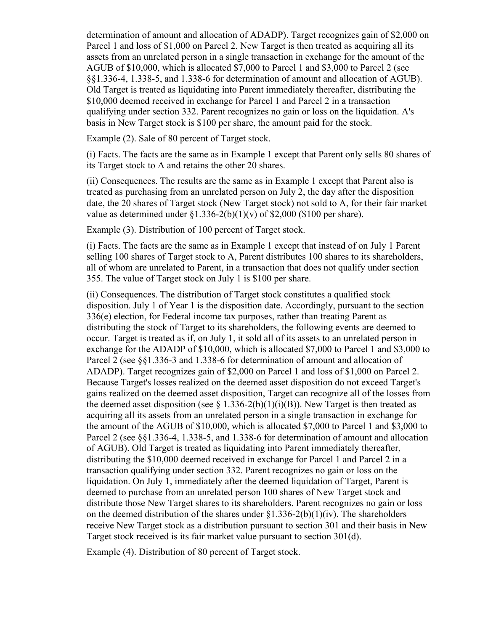determination of amount and allocation of ADADP). Target recognizes gain of \$2,000 on Parcel 1 and loss of \$1,000 on Parcel 2. New Target is then treated as acquiring all its assets from an unrelated person in a single transaction in exchange for the amount of the AGUB of \$10,000, which is allocated \$7,000 to Parcel 1 and \$3,000 to Parcel 2 (see §§1.336-4, 1.338-5, and 1.338-6 for determination of amount and allocation of AGUB). Old Target is treated as liquidating into Parent immediately thereafter, distributing the \$10,000 deemed received in exchange for Parcel 1 and Parcel 2 in a transaction qualifying under section 332. Parent recognizes no gain or loss on the liquidation. A's basis in New Target stock is \$100 per share, the amount paid for the stock.

Example (2). Sale of 80 percent of Target stock.

(i) Facts. The facts are the same as in Example 1 except that Parent only sells 80 shares of its Target stock to A and retains the other 20 shares.

(ii) Consequences. The results are the same as in Example 1 except that Parent also is treated as purchasing from an unrelated person on July 2, the day after the disposition date, the 20 shares of Target stock (New Target stock) not sold to A, for their fair market value as determined under  $\S1.336-2(b)(1)(v)$  of  $\S2,000$  (\$100 per share).

Example (3). Distribution of 100 percent of Target stock.

(i) Facts. The facts are the same as in Example 1 except that instead of on July 1 Parent selling 100 shares of Target stock to A, Parent distributes 100 shares to its shareholders, all of whom are unrelated to Parent, in a transaction that does not qualify under section 355. The value of Target stock on July 1 is \$100 per share.

(ii) Consequences. The distribution of Target stock constitutes a qualified stock disposition. July 1 of Year 1 is the disposition date. Accordingly, pursuant to the section 336(e) election, for Federal income tax purposes, rather than treating Parent as distributing the stock of Target to its shareholders, the following events are deemed to occur. Target is treated as if, on July 1, it sold all of its assets to an unrelated person in exchange for the ADADP of \$10,000, which is allocated \$7,000 to Parcel 1 and \$3,000 to Parcel 2 (see §§1.336-3 and 1.338-6 for determination of amount and allocation of ADADP). Target recognizes gain of \$2,000 on Parcel 1 and loss of \$1,000 on Parcel 2. Because Target's losses realized on the deemed asset disposition do not exceed Target's gains realized on the deemed asset disposition, Target can recognize all of the losses from the deemed asset disposition (see  $\S$  1.336-2(b)(1)(i)(B)). New Target is then treated as acquiring all its assets from an unrelated person in a single transaction in exchange for the amount of the AGUB of \$10,000, which is allocated \$7,000 to Parcel 1 and \$3,000 to Parcel 2 (see §§1.336-4, 1.338-5, and 1.338-6 for determination of amount and allocation of AGUB). Old Target is treated as liquidating into Parent immediately thereafter, distributing the \$10,000 deemed received in exchange for Parcel 1 and Parcel 2 in a transaction qualifying under section 332. Parent recognizes no gain or loss on the liquidation. On July 1, immediately after the deemed liquidation of Target, Parent is deemed to purchase from an unrelated person 100 shares of New Target stock and distribute those New Target shares to its shareholders. Parent recognizes no gain or loss on the deemed distribution of the shares under  $\S1.336-2(b)(1)(iv)$ . The shareholders receive New Target stock as a distribution pursuant to section 301 and their basis in New Target stock received is its fair market value pursuant to section 301(d).

Example (4). Distribution of 80 percent of Target stock.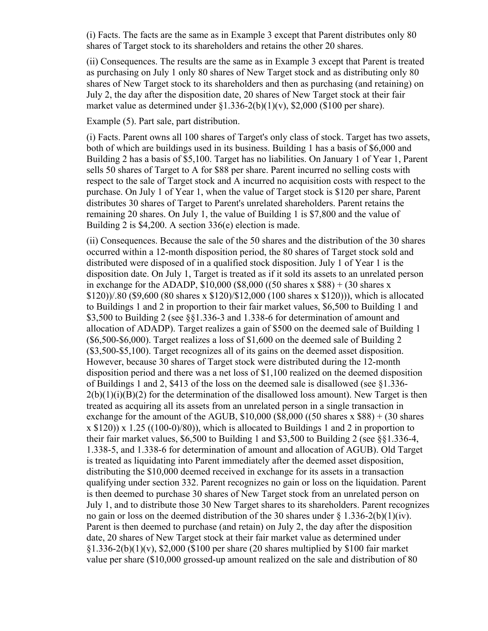(i) Facts. The facts are the same as in Example 3 except that Parent distributes only 80 shares of Target stock to its shareholders and retains the other 20 shares.

(ii) Consequences. The results are the same as in Example 3 except that Parent is treated as purchasing on July 1 only 80 shares of New Target stock and as distributing only 80 shares of New Target stock to its shareholders and then as purchasing (and retaining) on July 2, the day after the disposition date, 20 shares of New Target stock at their fair market value as determined under  $\S1.336-2(b)(1)(v)$ ,  $\S2,000$  (\$100 per share).

Example (5). Part sale, part distribution.

(i) Facts. Parent owns all 100 shares of Target's only class of stock. Target has two assets, both of which are buildings used in its business. Building 1 has a basis of \$6,000 and Building 2 has a basis of \$5,100. Target has no liabilities. On January 1 of Year 1, Parent sells 50 shares of Target to A for \$88 per share. Parent incurred no selling costs with respect to the sale of Target stock and A incurred no acquisition costs with respect to the purchase. On July 1 of Year 1, when the value of Target stock is \$120 per share, Parent distributes 30 shares of Target to Parent's unrelated shareholders. Parent retains the remaining 20 shares. On July 1, the value of Building 1 is \$7,800 and the value of Building 2 is \$4,200. A section 336(e) election is made.

(ii) Consequences. Because the sale of the 50 shares and the distribution of the 30 shares occurred within a 12-month disposition period, the 80 shares of Target stock sold and distributed were disposed of in a qualified stock disposition. July 1 of Year 1 is the disposition date. On July 1, Target is treated as if it sold its assets to an unrelated person in exchange for the ADADP,  $$10,000$  ( $$8,000$  ((50 shares x  $$88$ ) + (30 shares x \$120))/.80 (\$9,600 (80 shares x \$120)/\$12,000 (100 shares x \$120))), which is allocated to Buildings 1 and 2 in proportion to their fair market values, \$6,500 to Building 1 and \$3,500 to Building 2 (see §§1.336-3 and 1.338-6 for determination of amount and allocation of ADADP). Target realizes a gain of \$500 on the deemed sale of Building 1 (\$6,500-\$6,000). Target realizes a loss of \$1,600 on the deemed sale of Building 2 (\$3,500-\$5,100). Target recognizes all of its gains on the deemed asset disposition. However, because 30 shares of Target stock were distributed during the 12-month disposition period and there was a net loss of \$1,100 realized on the deemed disposition of Buildings 1 and 2, \$413 of the loss on the deemed sale is disallowed (see  $§1.336 2(b)(1)(i)(B)(2)$  for the determination of the disallowed loss amount). New Target is then treated as acquiring all its assets from an unrelated person in a single transaction in exchange for the amount of the AGUB,  $$10,000$  ( $$8,000$  ((50 shares x  $$88$ ) + (30 shares  $x$  \$120)) x 1.25 ((100-0)/80)), which is allocated to Buildings 1 and 2 in proportion to their fair market values, \$6,500 to Building 1 and \$3,500 to Building 2 (see §§1.336-4, 1.338-5, and 1.338-6 for determination of amount and allocation of AGUB). Old Target is treated as liquidating into Parent immediately after the deemed asset disposition, distributing the \$10,000 deemed received in exchange for its assets in a transaction qualifying under section 332. Parent recognizes no gain or loss on the liquidation. Parent is then deemed to purchase 30 shares of New Target stock from an unrelated person on July 1, and to distribute those 30 New Target shares to its shareholders. Parent recognizes no gain or loss on the deemed distribution of the 30 shares under  $\S 1.336-2(b)(1)(iv)$ . Parent is then deemed to purchase (and retain) on July 2, the day after the disposition date, 20 shares of New Target stock at their fair market value as determined under §1.336-2(b)(1)(v), \$2,000 (\$100 per share (20 shares multiplied by \$100 fair market value per share (\$10,000 grossed-up amount realized on the sale and distribution of 80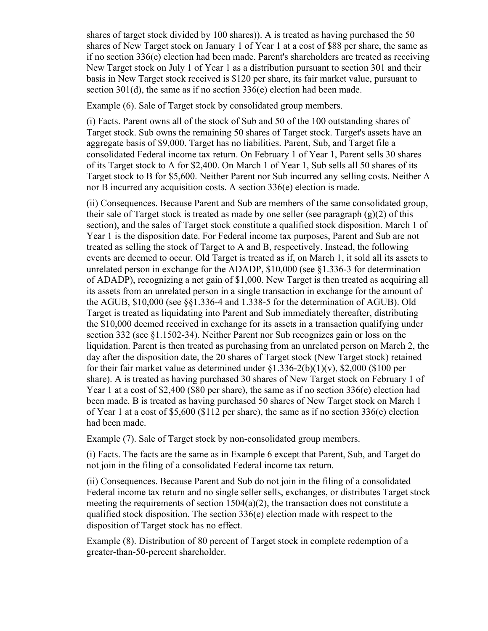shares of target stock divided by 100 shares)). A is treated as having purchased the 50 shares of New Target stock on January 1 of Year 1 at a cost of \$88 per share, the same as if no section 336(e) election had been made. Parent's shareholders are treated as receiving New Target stock on July 1 of Year 1 as a distribution pursuant to section 301 and their basis in New Target stock received is \$120 per share, its fair market value, pursuant to section 301(d), the same as if no section 336(e) election had been made.

Example (6). Sale of Target stock by consolidated group members.

(i) Facts. Parent owns all of the stock of Sub and 50 of the 100 outstanding shares of Target stock. Sub owns the remaining 50 shares of Target stock. Target's assets have an aggregate basis of \$9,000. Target has no liabilities. Parent, Sub, and Target file a consolidated Federal income tax return. On February 1 of Year 1, Parent sells 30 shares of its Target stock to A for \$2,400. On March 1 of Year 1, Sub sells all 50 shares of its Target stock to B for \$5,600. Neither Parent nor Sub incurred any selling costs. Neither A nor B incurred any acquisition costs. A section 336(e) election is made.

(ii) Consequences. Because Parent and Sub are members of the same consolidated group, their sale of Target stock is treated as made by one seller (see paragraph  $(g)(2)$  of this section), and the sales of Target stock constitute a qualified stock disposition. March 1 of Year 1 is the disposition date. For Federal income tax purposes, Parent and Sub are not treated as selling the stock of Target to A and B, respectively. Instead, the following events are deemed to occur. Old Target is treated as if, on March 1, it sold all its assets to unrelated person in exchange for the ADADP, \$10,000 (see §1.336-3 for determination of ADADP), recognizing a net gain of \$1,000. New Target is then treated as acquiring all its assets from an unrelated person in a single transaction in exchange for the amount of the AGUB, \$10,000 (see §§1.336-4 and 1.338-5 for the determination of AGUB). Old Target is treated as liquidating into Parent and Sub immediately thereafter, distributing the \$10,000 deemed received in exchange for its assets in a transaction qualifying under section 332 (see §1.1502-34). Neither Parent nor Sub recognizes gain or loss on the liquidation. Parent is then treated as purchasing from an unrelated person on March 2, the day after the disposition date, the 20 shares of Target stock (New Target stock) retained for their fair market value as determined under  $\S1.336-2(b)(1)(v)$ , \$2,000 (\$100 per share). A is treated as having purchased 30 shares of New Target stock on February 1 of Year 1 at a cost of \$2,400 (\$80 per share), the same as if no section 336(e) election had been made. B is treated as having purchased 50 shares of New Target stock on March 1 of Year 1 at a cost of \$5,600 (\$112 per share), the same as if no section 336(e) election had been made.

Example (7). Sale of Target stock by non-consolidated group members.

(i) Facts. The facts are the same as in Example 6 except that Parent, Sub, and Target do not join in the filing of a consolidated Federal income tax return.

(ii) Consequences. Because Parent and Sub do not join in the filing of a consolidated Federal income tax return and no single seller sells, exchanges, or distributes Target stock meeting the requirements of section  $1504(a)(2)$ , the transaction does not constitute a qualified stock disposition. The section 336(e) election made with respect to the disposition of Target stock has no effect.

Example (8). Distribution of 80 percent of Target stock in complete redemption of a greater-than-50-percent shareholder.